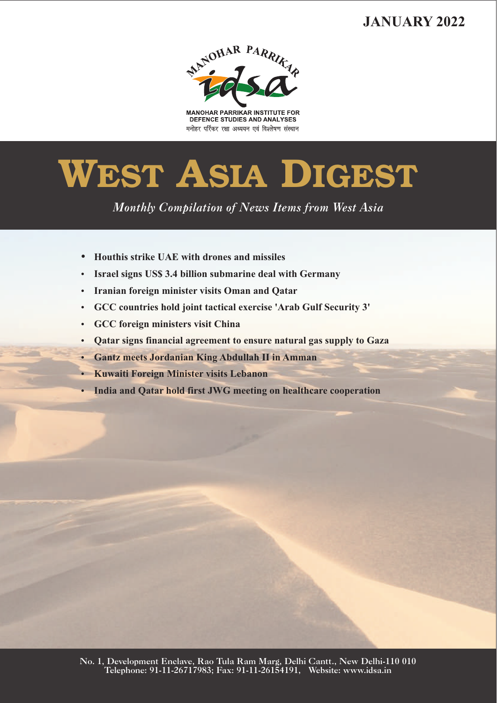# **JANUARY 2022**



**MANOHAR PARRIKAR INSTITUTE FOR** DEFENCE STUDIES AND ANALYSES मनोहर पर्रिकर रक्षा अध्ययन एवं विश्लेषण संस्थान

# **WEST ASIA DIGEST**

*Monthly Compilation of News Items from West Asia* 

- 
- ??**Houthis strike UAE with drones and missiles** ?**Israel signs US\$ 3.4 billion submarine deal with Germany**
- 
- ?**Iranian foreign minister visits Oman and Qatar** ?**GCC countries hold joint tactical exercise 'Arab Gulf Security 3'**
- 
- ?**GCC foreign ministers visit China** ?**Qatar signs financial agreement to ensure natural gas supply to Gaza**
- ?**Gantz meets Jordanian King Abdullah II in Amman**
- 
- ?**Kuwaiti Foreign Minister visits Lebanon India and Qatar hold first JWG meeting on healthcare cooperation**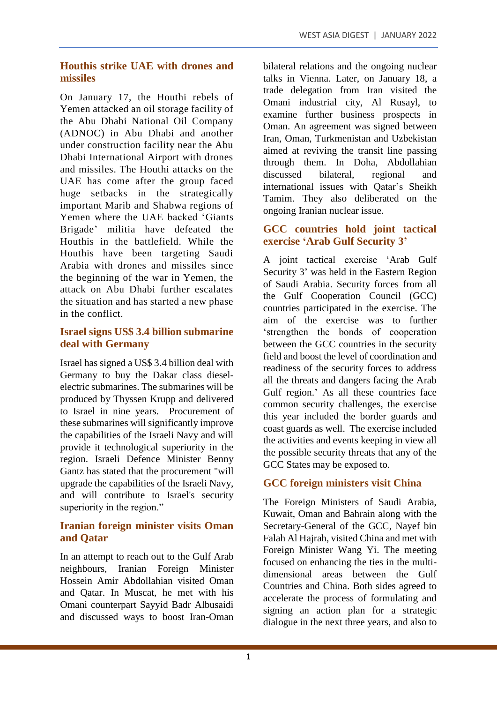# **Houthis strike UAE with drones and missiles**

On January 17, the Houthi rebels of Yemen attacked an oil storage facility of the Abu Dhabi National Oil Company (ADNOC) in Abu Dhabi and another under construction facility near the Abu Dhabi International Airport with drones and missiles. The Houthi attacks on the UAE has come after the group faced huge setbacks in the strategically important Marib and Shabwa regions of Yemen where the UAE backed 'Giants Brigade' militia have defeated the Houthis in the battlefield. While the Houthis have been targeting Saudi Arabia with drones and missiles since the beginning of the war in Yemen, the attack on Abu Dhabi further escalates the situation and has started a new phase in the conflict.

### **Israel signs US\$ 3.4 billion submarine deal with Germany**

Israel has signed a US\$ 3.4 billion deal with Germany to buy the Dakar class dieselelectric submarines. The submarines will be produced by Thyssen Krupp and delivered to Israel in nine years. Procurement of these submarines will significantly improve the capabilities of the Israeli Navy and will provide it technological superiority in the region. Israeli Defence Minister Benny Gantz has stated that the procurement "will upgrade the capabilities of the Israeli Navy, and will contribute to Israel's security superiority in the region."

# **Iranian foreign minister visits Oman and Qatar**

In an attempt to reach out to the Gulf Arab neighbours, Iranian Foreign Minister Hossein Amir Abdollahian visited Oman and Qatar. In Muscat, he met with his Omani counterpart Sayyid Badr Albusaidi and discussed ways to boost Iran-Oman bilateral relations and the ongoing nuclear talks in Vienna. Later, on January 18, a trade delegation from Iran visited the Omani industrial city, Al Rusayl, to examine further business prospects in Oman. An agreement was signed between Iran, Oman, Turkmenistan and Uzbekistan aimed at reviving the transit line passing through them. In Doha, Abdollahian discussed bilateral, regional and international issues with Qatar's Sheikh Tamim. They also deliberated on the ongoing Iranian nuclear issue.

# **GCC countries hold joint tactical exercise 'Arab Gulf Security 3'**

A joint tactical exercise 'Arab Gulf Security 3' was held in the Eastern Region of Saudi Arabia. Security forces from all the Gulf Cooperation Council (GCC) countries participated in the exercise. The aim of the exercise was to further 'strengthen the bonds of cooperation between the GCC countries in the security field and boost the level of coordination and readiness of the security forces to address all the threats and dangers facing the Arab Gulf region.' As all these countries face common security challenges, the exercise this year included the border guards and coast guards as well. The exercise included the activities and events keeping in view all the possible security threats that any of the GCC States may be exposed to.

# **GCC foreign ministers visit China**

The Foreign Ministers of Saudi Arabia, Kuwait, Oman and Bahrain along with the Secretary-General of the GCC, Nayef bin Falah Al Hajrah, visited China and met with Foreign Minister Wang Yi. The meeting focused on enhancing the ties in the multidimensional areas between the Gulf Countries and China. Both sides agreed to accelerate the process of formulating and signing an action plan for a strategic dialogue in the next three years, and also to